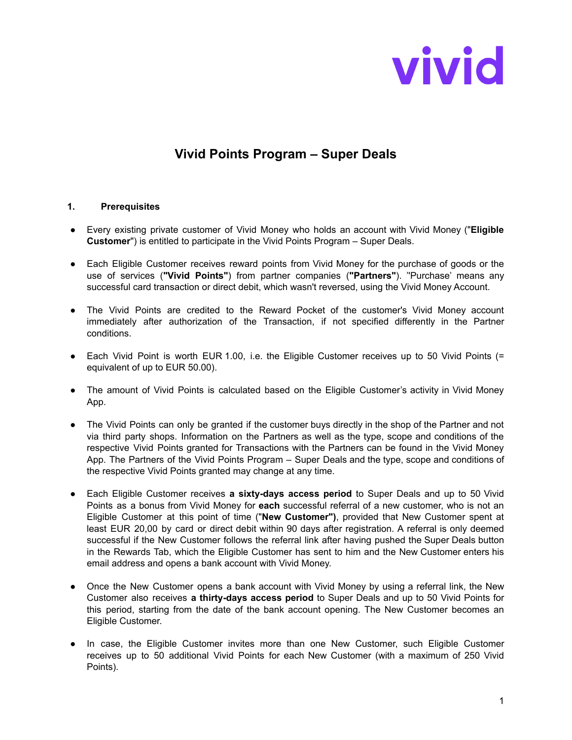

## **Vivid Points Program – Super Deals**

## **1. Prerequisites**

- Every existing private customer of Vivid Money who holds an account with Vivid Money ("**Eligible Customer**") is entitled to participate in the Vivid Points Program – Super Deals.
- Each Eligible Customer receives reward points from Vivid Money for the purchase of goods or the use of services (**"Vivid Points"**) from partner companies (**"Partners"**). ''Purchase' means any successful card transaction or direct debit, which wasn't reversed, using the Vivid Money Account.
- The Vivid Points are credited to the Reward Pocket of the customer's Vivid Money account immediately after authorization of the Transaction, if not specified differently in the Partner conditions.
- Each Vivid Point is worth EUR 1.00, i.e. the Eligible Customer receives up to 50 Vivid Points (= equivalent of up to EUR 50.00).
- The amount of Vivid Points is calculated based on the Eligible Customer's activity in Vivid Money App.
- The Vivid Points can only be granted if the customer buys directly in the shop of the Partner and not via third party shops. Information on the Partners as well as the type, scope and conditions of the respective Vivid Points granted for Transactions with the Partners can be found in the Vivid Money App. The Partners of the Vivid Points Program – Super Deals and the type, scope and conditions of the respective Vivid Points granted may change at any time.
- Each Eligible Customer receives **a sixty-days access period** to Super Deals and up to 50 Vivid Points as a bonus from Vivid Money for **each** successful referral of a new customer, who is not an Eligible Customer at this point of time ("**New Customer")**, provided that New Customer spent at least EUR 20,00 by card or direct debit within 90 days after registration. A referral is only deemed successful if the New Customer follows the referral link after having pushed the Super Deals button in the Rewards Tab, which the Eligible Customer has sent to him and the New Customer enters his email address and opens a bank account with Vivid Money.
- Once the New Customer opens a bank account with Vivid Money by using a referral link, the New Customer also receives **a thirty-days access period** to Super Deals and up to 50 Vivid Points for this period, starting from the date of the bank account opening. The New Customer becomes an Eligible Customer.
- In case, the Eligible Customer invites more than one New Customer, such Eligible Customer receives up to 50 additional Vivid Points for each New Customer (with a maximum of 250 Vivid Points).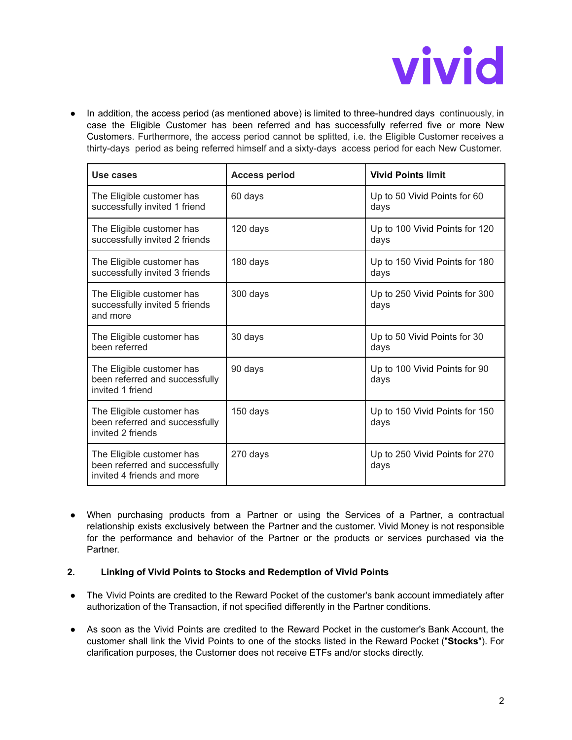

● In addition, the access period (as mentioned above) is limited to three-hundred days continuously, in case the Eligible Customer has been referred and has successfully referred five or more New Customers. Furthermore, the access period cannot be splitted, i.e. the Eligible Customer receives a thirty-days period as being referred himself and a sixty-days access period for each New Customer.

| Use cases                                                                                 | <b>Access period</b> | <b>Vivid Points limit</b>              |
|-------------------------------------------------------------------------------------------|----------------------|----------------------------------------|
| The Eligible customer has<br>successfully invited 1 friend                                | 60 days              | Up to 50 Vivid Points for 60<br>days   |
| The Eligible customer has<br>successfully invited 2 friends                               | 120 days             | Up to 100 Vivid Points for 120<br>days |
| The Eligible customer has<br>successfully invited 3 friends                               | 180 days             | Up to 150 Vivid Points for 180<br>days |
| The Eligible customer has<br>successfully invited 5 friends<br>and more                   | 300 days             | Up to 250 Vivid Points for 300<br>days |
| The Eligible customer has<br>been referred                                                | 30 days              | Up to 50 Vivid Points for 30<br>days   |
| The Eligible customer has<br>been referred and successfully<br>invited 1 friend           | 90 days              | Up to 100 Vivid Points for 90<br>days  |
| The Eligible customer has<br>been referred and successfully<br>invited 2 friends          | 150 days             | Up to 150 Vivid Points for 150<br>days |
| The Eligible customer has<br>been referred and successfully<br>invited 4 friends and more | 270 days             | Up to 250 Vivid Points for 270<br>days |

● When purchasing products from a Partner or using the Services of a Partner, a contractual relationship exists exclusively between the Partner and the customer. Vivid Money is not responsible for the performance and behavior of the Partner or the products or services purchased via the Partner.

## **2. Linking of Vivid Points to Stocks and Redemption of Vivid Points**

- The Vivid Points are credited to the Reward Pocket of the customer's bank account immediately after authorization of the Transaction, if not specified differently in the Partner conditions.
- As soon as the Vivid Points are credited to the Reward Pocket in the customer's Bank Account, the customer shall link the Vivid Points to one of the stocks listed in the Reward Pocket ("**Stocks**"). For clarification purposes, the Customer does not receive ETFs and/or stocks directly.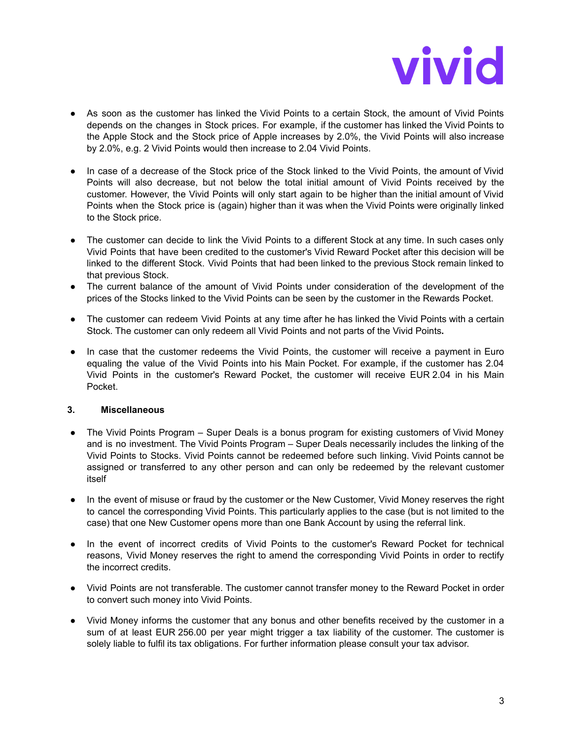

- **●** As soon as the customer has linked the Vivid Points to a certain Stock, the amount of Vivid Points depends on the changes in Stock prices. For example, if the customer has linked the Vivid Points to the Apple Stock and the Stock price of Apple increases by 2.0%, the Vivid Points will also increase by 2.0%, e.g. 2 Vivid Points would then increase to 2.04 Vivid Points.
- In case of a decrease of the Stock price of the Stock linked to the Vivid Points, the amount of Vivid Points will also decrease, but not below the total initial amount of Vivid Points received by the customer. However, the Vivid Points will only start again to be higher than the initial amount of Vivid Points when the Stock price is (again) higher than it was when the Vivid Points were originally linked to the Stock price.
- The customer can decide to link the Vivid Points to a different Stock at any time. In such cases only Vivid Points that have been credited to the customer's Vivid Reward Pocket after this decision will be linked to the different Stock. Vivid Points that had been linked to the previous Stock remain linked to that previous Stock.
- The current balance of the amount of Vivid Points under consideration of the development of the prices of the Stocks linked to the Vivid Points can be seen by the customer in the Rewards Pocket.
- The customer can redeem Vivid Points at any time after he has linked the Vivid Points with a certain Stock. The customer can only redeem all Vivid Points and not parts of the Vivid Points**.**
- In case that the customer redeems the Vivid Points, the customer will receive a payment in Euro equaling the value of the Vivid Points into his Main Pocket. For example, if the customer has 2.04 Vivid Points in the customer's Reward Pocket, the customer will receive EUR 2.04 in his Main Pocket.

## **3. Miscellaneous**

- The Vivid Points Program Super Deals is a bonus program for existing customers of Vivid Money and is no investment. The Vivid Points Program – Super Deals necessarily includes the linking of the Vivid Points to Stocks. Vivid Points cannot be redeemed before such linking. Vivid Points cannot be assigned or transferred to any other person and can only be redeemed by the relevant customer itself
- In the event of misuse or fraud by the customer or the New Customer, Vivid Money reserves the right to cancel the corresponding Vivid Points. This particularly applies to the case (but is not limited to the case) that one New Customer opens more than one Bank Account by using the referral link.
- In the event of incorrect credits of Vivid Points to the customer's Reward Pocket for technical reasons, Vivid Money reserves the right to amend the corresponding Vivid Points in order to rectify the incorrect credits.
- Vivid Points are not transferable. The customer cannot transfer money to the Reward Pocket in order to convert such money into Vivid Points.
- Vivid Money informs the customer that any bonus and other benefits received by the customer in a sum of at least EUR 256.00 per year might trigger a tax liability of the customer. The customer is solely liable to fulfil its tax obligations. For further information please consult your tax advisor.